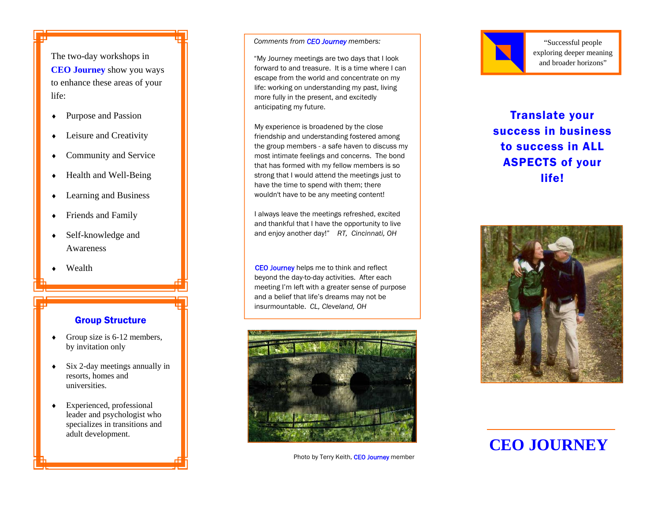The two-day workshops in **CEO Journey** show you ways to enhance these areas of your life:

- Purpose and Passion
- Leisure and Creativity
- Community and Service
- Health and Well-Being
- ♦ Learning and Business
- Friends and Family
- Self-knowledge and Awareness
- Wealth

#### Group Structure

- Group size is 6-12 members, by invitation only
- Six 2-day meetings annually in resorts, homes and universities.
- Experienced, professional leader and psychologist who specializes in transitions and adult development.

#### *Comments from CEO Journey members:*

"My Journey meetings are two days that I look forward to and treasure. It is a time where I can escape from the world and concentrate on my life: working on understanding my past, living more fully in the present, and excitedly anticipating my future.

My experience is broadened by the close friendship and understanding fostered among the group members - a safe haven to discuss my most intimate feelings and concerns. The bond that has formed with my fellow members is so strong that I would attend the meetings just to have the time to spend with them; there wouldn't have to be any meeting content!

I always leave the meetings refreshed, excited and thankful that I have the opportunity to live and enjoy another day!" *RT, Cincinnati, OH* 

CEO Journey helps me to think and reflect beyond the day-to-day activities. After each meeting I'm left with a greater sense of purpose and a belief that life's dreams may not be insurmountable. *CL, Cleveland, OH*



Photo by Terry Keith, CEO Journey member



"Successful people exploring deeper meaning and broader horizons"

Translate your success in business to success in ALL ASPECTS of your life!



# **CEO JOURNEY**